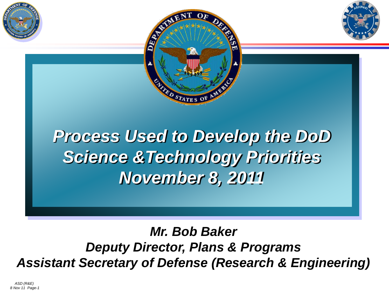





*Mr. Bob Baker Deputy Director, Plans & Programs Assistant Secretary of Defense (Research & Engineering)*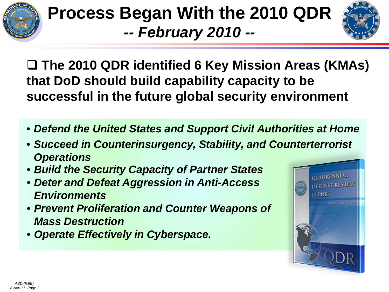

### **Process Began With the 2010 QDR** *-- February 2010 --*



 **The 2010 QDR identified 6 Key Mission Areas (KMAs) that DoD should build capability capacity to be successful in the future global security environment**

- *Defend the United States and Support Civil Authorities at Home*
- *Succeed in Counterinsurgency, Stability, and Counterterrorist Operations*
- *Build the Security Capacity of Partner States*
- *Deter and Defeat Aggression in Anti-Access Environments*
- *Prevent Proliferation and Counter Weapons of Mass Destruction*
- *Operate Effectively in Cyberspace.*

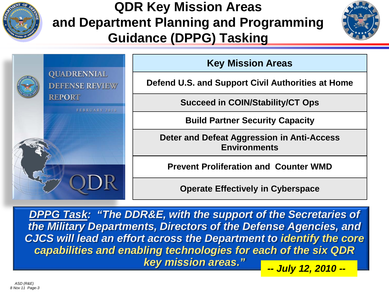

**QUADRENNIAL** 

**REPORT** 

**DEFENSE REVIEW** 

FEBRUARY 2010

#### **QDR Key Mission Areas and Department Planning and Programming Guidance (DPPG) Tasking**



**Key Mission Areas**

**Defend U.S. and Support Civil Authorities at Home**

**Succeed in COIN/Stability/CT Ops**

**Build Partner Security Capacity**

**Deter and Defeat Aggression in Anti-Access Environments**

**Prevent Proliferation and Counter WMD**

**Operate Effectively in Cyberspace**

*DPPG Task: "The DDR&E, with the support of the Secretaries of the Military Departments, Directors of the Defense Agencies, and CJCS will lead an effort across the Department to identify the core capabilities and enabling technologies for each of the six QDR key mission areas." -- July 12, 2010 --*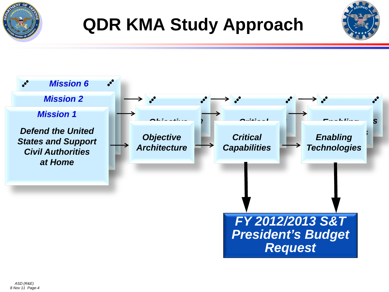

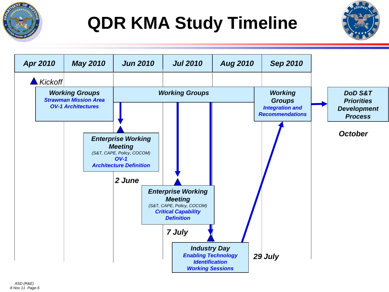

## **QDR KMA Study Timeline**



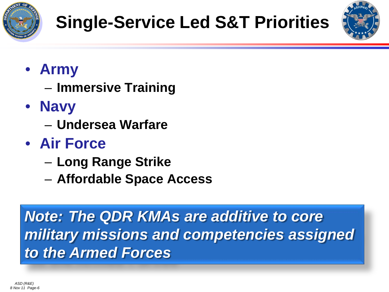



- **Army**
	- **Immersive Training**
- **Navy**
	- **Undersea Warfare**
- **Air Force**
	- **Long Range Strike**
	- **Affordable Space Access**

*Note: The QDR KMAs are additive to core military missions and competencies assigned to the Armed Forces*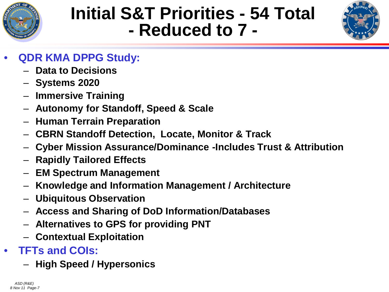

## **Initial S&T Priorities - 54 Total - Reduced to 7 -**



- **QDR KMA DPPG Study:**
	- **Data to Decisions**
	- **Systems 2020**
	- **Immersive Training**
	- **Autonomy for Standoff, Speed & Scale**
	- **Human Terrain Preparation**
	- **CBRN Standoff Detection, Locate, Monitor & Track**
	- **Cyber Mission Assurance/Dominance -Includes Trust & Attribution**
	- **Rapidly Tailored Effects**
	- **EM Spectrum Management**
	- **Knowledge and Information Management / Architecture**
	- **Ubiquitous Observation**
	- **Access and Sharing of DoD Information/Databases**
	- **Alternatives to GPS for providing PNT**
	- **Contextual Exploitation**
- **TFTs and COIs:**
	- **High Speed / Hypersonics**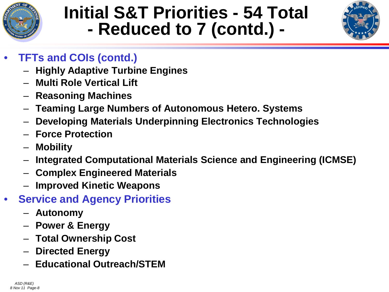

# **Initial S&T Priorities - 54 Total - Reduced to 7 (contd.) -**



- **TFTs and COIs (contd.)**
	- **Highly Adaptive Turbine Engines**
	- **Multi Role Vertical Lift**
	- **Reasoning Machines**
	- **Teaming Large Numbers of Autonomous Hetero. Systems**
	- **Developing Materials Underpinning Electronics Technologies**
	- **Force Protection**
	- **Mobility**
	- **Integrated Computational Materials Science and Engineering (ICMSE)**
	- **Complex Engineered Materials**
	- **Improved Kinetic Weapons**
- **Service and Agency Priorities**
	- **Autonomy**
	- **Power & Energy**
	- **Total Ownership Cost**
	- **Directed Energy**
	- **Educational Outreach/STEM**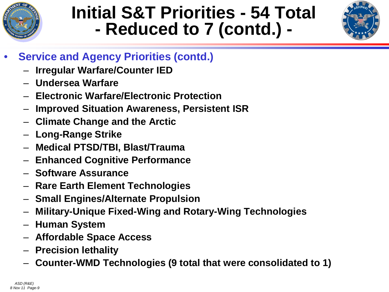

## **Initial S&T Priorities - 54 Total - Reduced to 7 (contd.) -**



- **Service and Agency Priorities (contd.)**
	- **Irregular Warfare/Counter IED**
	- **Undersea Warfare**
	- **Electronic Warfare/Electronic Protection**
	- **Improved Situation Awareness, Persistent ISR**
	- **Climate Change and the Arctic**
	- **Long-Range Strike**
	- **Medical PTSD/TBI, Blast/Trauma**
	- **Enhanced Cognitive Performance**
	- **Software Assurance**
	- **Rare Earth Element Technologies**
	- **Small Engines/Alternate Propulsion**
	- **Military-Unique Fixed-Wing and Rotary-Wing Technologies**
	- **Human System**
	- **Affordable Space Access**
	- **Precision lethality**
	- **Counter-WMD Technologies (9 total that were consolidated to 1)**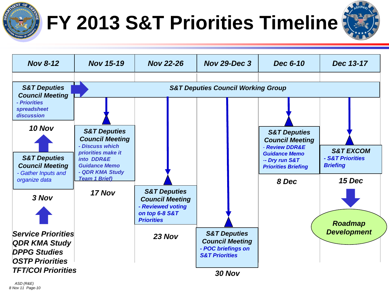

## **FY 2013 S&T Priorities Timeline**



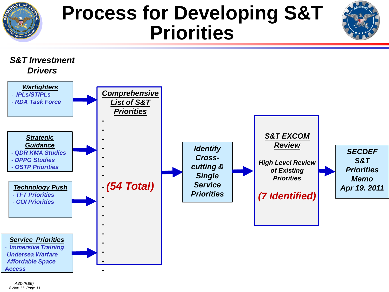

## **Process for Developing S&T Priorities**



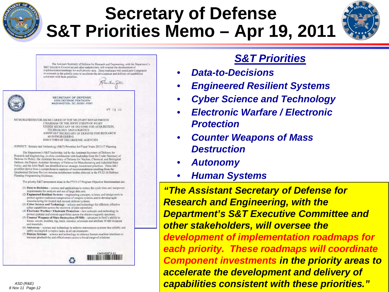

### **Secretary of Defense S&T Priorities Memo – Apr 19, 2011**



The Assistant Sectorary of Defense for Research and Engineering, with the Department's S&T Excellive Committee and other stakeholders, will oversee the development of implementation roadinage for such prively sees. These conductes will coordinate Component investments in the priority areas to sacciente the development and delivery of expubilities consistent with facto priorities.



SECRETARY OF OEFENSE 1000 DEFENSE PENTAGON WASHINGTON, DC 20301-1000

MEMORANDUM FOR SECRETARIES OF THE MILITARY DIPARTMENTS. CHAIRMAN OF THE JOINT CHEIPS OF STAFF UNDER SECRITARY OF DEPENSE FOR ACQUISITION. TECHNOLOGY AND LOGISTICS ASSISTANT SECRETARY OF DEFENSE FOR RESEARCH AND ENGINSTRING DOUTCTORS OF THE DEFINSE AGENCIES

SUBJECT: Science and Technology (S&T) Priorities for Fiscal Years 2013-17 Planning

The Department's S&T lasdership, and by the Assistant Secretary of Defense for Rosoutch and Engineering, in close coordination with leadership from the Under Sporetury of Detrow for Policy, the Assistant Secretary of Deferre for Noclean, Chemical, and Biological Delense, the Deputy Assistant Secondary of Deferre Tor Manufacturing and Industrial Basic Policy, and the Joint Staff, has identified rayon strategic investment priorities. There S&T priorities derive from a comprehensive analysis of incommendations resulting from the Ovadovinial Defense Review mission acchitecture studies directed in the FY12-16 Defense Planning Programming Guidance,

The priority S&T investment areas in the PYI's-17 Program Objective Mannessdam are:

- (1) Data to Berisions scores and applications to reduce the cycle time and margoner requirements for analysis and use of large data sets.
- (2) Engineered Realism Systems engineering concepts, science, and design tools to protect against multicizes compremise of weapon systems and to develop agale standarbeing for troppd and catared defense system).
- (3) Cyber Science and Trohanlogy science and technology for efficient, effective cyber capabilities across the spormers of joint operations.
- 14) Electronic Warfare / Electronic Protection new concepts and technology to protost aystems and extand capabilities across the electro-magnetic spectrum.
- (3) Counter Weapons of Mass Destruction (WMD) advances in DrO's ability to Vesta, nivera, monitor, rag, track, intendict, eliminate and artificate WMD womens. and materials.
- (fi) Autonomy science and technology to achieve autonomous systems that reliably and sufely accomplish complex tasks, in all emironments.
- (7) Human Systems wieste and technology to enhance haman-machine interfates to increase productivity and officativeness across a broad mange of relations.



 $177.16.21$ 

- 
- 
- 
- -
	-
	-
	-



*ASD (R&E) 8 Nov 11 Page-12*

#### *S&T Priorities*

- *Data-to-Decisions*
- *Engineered Resilient Systems*
- *Cyber Science and Technology*
- *Electronic Warfare / Electronic Protection*
- *Counter Weapons of Mass Destruction*
- *Autonomy*
- *Human Systems*

*"The Assistant Secretary of Defense for Research and Engineering, with the Department's S&T Executive Committee and other stakeholders, will oversee the development of implementation roadmaps for each priority. These roadmaps will coordinate Component investments in the priority areas to accelerate the development and delivery of capabilities consistent with these priorities."*